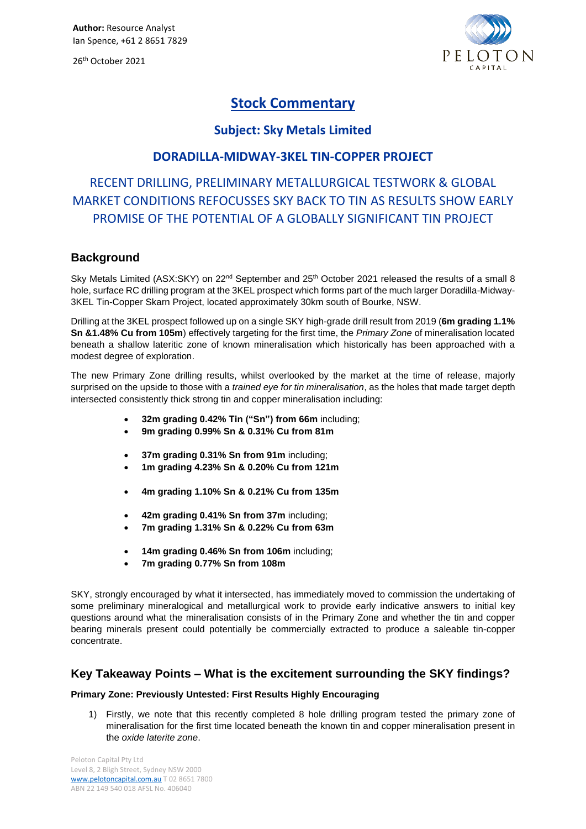26 th October 2021



# **Stock Commentary**

# **Subject: Sky Metals Limited**

# **DORADILLA-MIDWAY-3KEL TIN-COPPER PROJECT**

# RECENT DRILLING, PRELIMINARY METALLURGICAL TESTWORK & GLOBAL MARKET CONDITIONS REFOCUSSES SKY BACK TO TIN AS RESULTS SHOW EARLY PROMISE OF THE POTENTIAL OF A GLOBALLY SIGNIFICANT TIN PROJECT

## **Background**

Sky Metals Limited (ASX:SKY) on 22<sup>nd</sup> September and 25<sup>th</sup> October 2021 released the results of a small 8 hole, surface RC drilling program at the 3KEL prospect which forms part of the much larger Doradilla-Midway-3KEL Tin-Copper Skarn Project, located approximately 30km south of Bourke, NSW.

Drilling at the 3KEL prospect followed up on a single SKY high-grade drill result from 2019 (**6m grading 1.1% Sn &1.48% Cu from 105m**) effectively targeting for the first time, the *Primary Zone* of mineralisation located beneath a shallow lateritic zone of known mineralisation which historically has been approached with a modest degree of exploration.

The new Primary Zone drilling results, whilst overlooked by the market at the time of release, majorly surprised on the upside to those with a *trained eye for tin mineralisation*, as the holes that made target depth intersected consistently thick strong tin and copper mineralisation including:

- **32m grading 0.42% Tin ("Sn") from 66m** including;
- **9m grading 0.99% Sn & 0.31% Cu from 81m**
- **37m grading 0.31% Sn from 91m** including;
- **1m grading 4.23% Sn & 0.20% Cu from 121m**
- **4m grading 1.10% Sn & 0.21% Cu from 135m**
- **42m grading 0.41% Sn from 37m** including;
- **7m grading 1.31% Sn & 0.22% Cu from 63m**
- **14m grading 0.46% Sn from 106m** including;
- **7m grading 0.77% Sn from 108m**

SKY, strongly encouraged by what it intersected, has immediately moved to commission the undertaking of some preliminary mineralogical and metallurgical work to provide early indicative answers to initial key questions around what the mineralisation consists of in the Primary Zone and whether the tin and copper bearing minerals present could potentially be commercially extracted to produce a saleable tin-copper concentrate.

## **Key Takeaway Points – What is the excitement surrounding the SKY findings?**

## **Primary Zone: Previously Untested: First Results Highly Encouraging**

1) Firstly, we note that this recently completed 8 hole drilling program tested the primary zone of mineralisation for the first time located beneath the known tin and copper mineralisation present in the *oxide laterite zone*.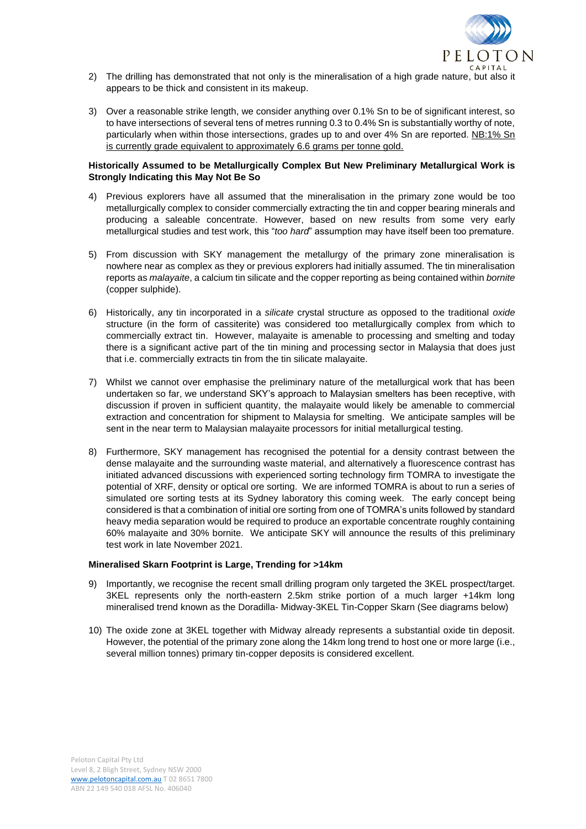

- 2) The drilling has demonstrated that not only is the mineralisation of a high grade nature, but also it appears to be thick and consistent in its makeup.
- 3) Over a reasonable strike length, we consider anything over 0.1% Sn to be of significant interest, so to have intersections of several tens of metres running 0.3 to 0.4% Sn is substantially worthy of note, particularly when within those intersections, grades up to and over 4% Sn are reported. NB:1% Sn is currently grade equivalent to approximately 6.6 grams per tonne gold.

### **Historically Assumed to be Metallurgically Complex But New Preliminary Metallurgical Work is Strongly Indicating this May Not Be So**

- 4) Previous explorers have all assumed that the mineralisation in the primary zone would be too metallurgically complex to consider commercially extracting the tin and copper bearing minerals and producing a saleable concentrate. However, based on new results from some very early metallurgical studies and test work, this "*too hard*" assumption may have itself been too premature.
- 5) From discussion with SKY management the metallurgy of the primary zone mineralisation is nowhere near as complex as they or previous explorers had initially assumed. The tin mineralisation reports as *malayaite*, a calcium tin silicate and the copper reporting as being contained within *bornite* (copper sulphide).
- 6) Historically, any tin incorporated in a *silicate* crystal structure as opposed to the traditional *oxide*  structure (in the form of cassiterite) was considered too metallurgically complex from which to commercially extract tin. However, malayaite is amenable to processing and smelting and today there is a significant active part of the tin mining and processing sector in Malaysia that does just that i.e. commercially extracts tin from the tin silicate malayaite.
- 7) Whilst we cannot over emphasise the preliminary nature of the metallurgical work that has been undertaken so far, we understand SKY's approach to Malaysian smelters has been receptive, with discussion if proven in sufficient quantity, the malayaite would likely be amenable to commercial extraction and concentration for shipment to Malaysia for smelting. We anticipate samples will be sent in the near term to Malaysian malayaite processors for initial metallurgical testing.
- 8) Furthermore, SKY management has recognised the potential for a density contrast between the dense malayaite and the surrounding waste material, and alternatively a fluorescence contrast has initiated advanced discussions with experienced sorting technology firm TOMRA to investigate the potential of XRF, density or optical ore sorting. We are informed TOMRA is about to run a series of simulated ore sorting tests at its Sydney laboratory this coming week. The early concept being considered is that a combination of initial ore sorting from one of TOMRA's units followed by standard heavy media separation would be required to produce an exportable concentrate roughly containing 60% malayaite and 30% bornite. We anticipate SKY will announce the results of this preliminary test work in late November 2021.

### **Mineralised Skarn Footprint is Large, Trending for >14km**

- 9) Importantly, we recognise the recent small drilling program only targeted the 3KEL prospect/target. 3KEL represents only the north-eastern 2.5km strike portion of a much larger +14km long mineralised trend known as the Doradilla- Midway-3KEL Tin-Copper Skarn (See diagrams below)
- 10) The oxide zone at 3KEL together with Midway already represents a substantial oxide tin deposit. However, the potential of the primary zone along the 14km long trend to host one or more large (i.e., several million tonnes) primary tin-copper deposits is considered excellent.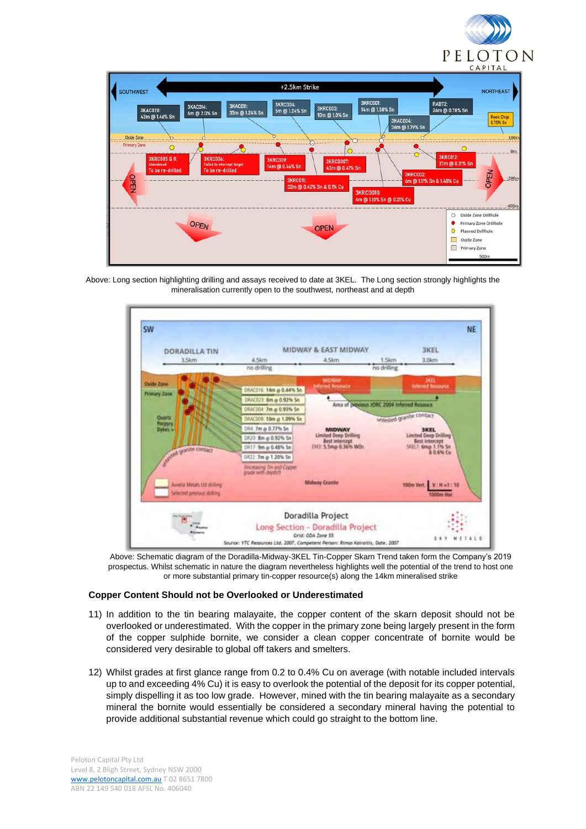



Above: Long section highlighting drilling and assays received to date at 3KEL. The Long section strongly highlights the mineralisation currently open to the southwest, northeast and at depth



Above: Schematic diagram of the Doradilla-Midway-3KEL Tin-Copper Skarn Trend taken form the Company's 2019 prospectus. Whilst schematic in nature the diagram nevertheless highlights well the potential of the trend to host one or more substantial primary tin-copper resource(s) along the 14km mineralised strike

### **Copper Content Should not be Overlooked or Underestimated**

- 11) In addition to the tin bearing malayaite, the copper content of the skarn deposit should not be overlooked or underestimated. With the copper in the primary zone being largely present in the form of the copper sulphide bornite, we consider a clean copper concentrate of bornite would be considered very desirable to global off takers and smelters.
- 12) Whilst grades at first glance range from 0.2 to 0.4% Cu on average (with notable included intervals up to and exceeding 4% Cu) it is easy to overlook the potential of the deposit for its copper potential, simply dispelling it as too low grade. However, mined with the tin bearing malayaite as a secondary mineral the bornite would essentially be considered a secondary mineral having the potential to provide additional substantial revenue which could go straight to the bottom line.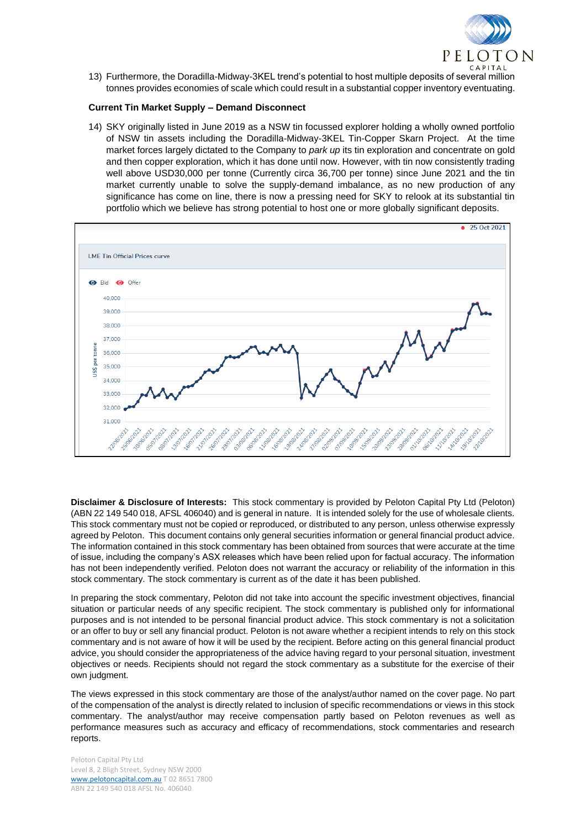

13) Furthermore, the Doradilla-Midway-3KEL trend's potential to host multiple deposits of several million tonnes provides economies of scale which could result in a substantial copper inventory eventuating.

### **Current Tin Market Supply – Demand Disconnect**

14) SKY originally listed in June 2019 as a NSW tin focussed explorer holding a wholly owned portfolio of NSW tin assets including the Doradilla-Midway-3KEL Tin-Copper Skarn Project. At the time market forces largely dictated to the Company to *park up* its tin exploration and concentrate on gold and then copper exploration, which it has done until now. However, with tin now consistently trading well above USD30,000 per tonne (Currently circa 36,700 per tonne) since June 2021 and the tin market currently unable to solve the supply-demand imbalance, as no new production of any significance has come on line, there is now a pressing need for SKY to relook at its substantial tin portfolio which we believe has strong potential to host one or more globally significant deposits.



**Disclaimer & Disclosure of Interests:** This stock commentary is provided by Peloton Capital Pty Ltd (Peloton) (ABN 22 149 540 018, AFSL 406040) and is general in nature. It is intended solely for the use of wholesale clients. This stock commentary must not be copied or reproduced, or distributed to any person, unless otherwise expressly agreed by Peloton. This document contains only general securities information or general financial product advice. The information contained in this stock commentary has been obtained from sources that were accurate at the time of issue, including the company's ASX releases which have been relied upon for factual accuracy. The information has not been independently verified. Peloton does not warrant the accuracy or reliability of the information in this stock commentary. The stock commentary is current as of the date it has been published.

In preparing the stock commentary, Peloton did not take into account the specific investment objectives, financial situation or particular needs of any specific recipient. The stock commentary is published only for informational purposes and is not intended to be personal financial product advice. This stock commentary is not a solicitation or an offer to buy or sell any financial product. Peloton is not aware whether a recipient intends to rely on this stock commentary and is not aware of how it will be used by the recipient. Before acting on this general financial product advice, you should consider the appropriateness of the advice having regard to your personal situation, investment objectives or needs. Recipients should not regard the stock commentary as a substitute for the exercise of their own judgment.

The views expressed in this stock commentary are those of the analyst/author named on the cover page. No part of the compensation of the analyst is directly related to inclusion of specific recommendations or views in this stock commentary. The analyst/author may receive compensation partly based on Peloton revenues as well as performance measures such as accuracy and efficacy of recommendations, stock commentaries and research reports.

Peloton Capital Pty Ltd Level 8, 2 Bligh Street, Sydney NSW 2000 [www.pelotoncapital.com.au](http://www.pelotoncapital.com.au/) T 02 8651 7800 ABN 22 149 540 018 AFSL No. 406040